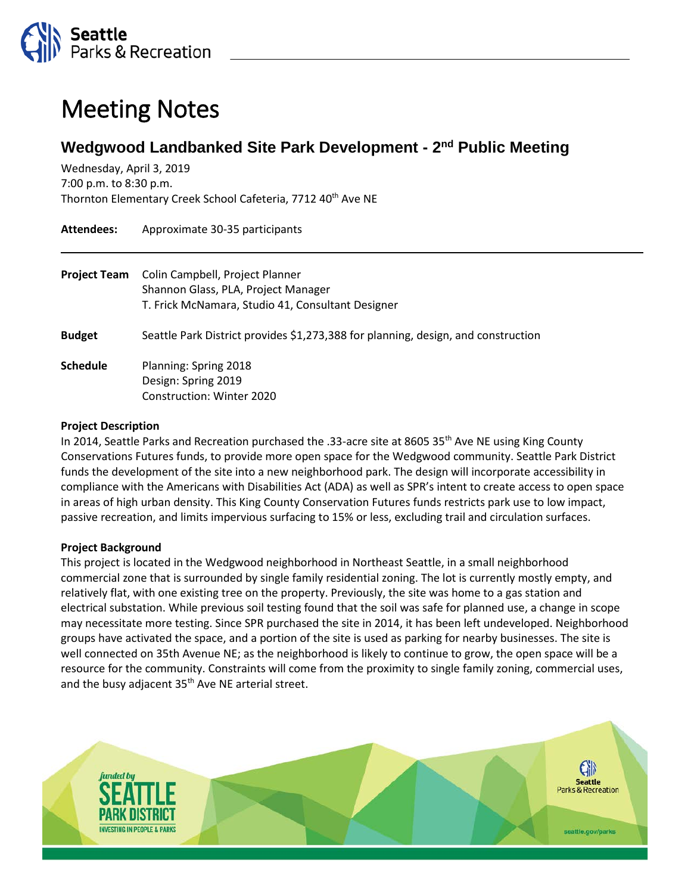

# Meeting Notes

# **Wedgwood Landbanked Site Park Development - 2nd Public Meeting**

Wednesday, April 3, 2019 7:00 p.m. to 8:30 p.m. Thornton Elementary Creek School Cafeteria, 7712 40<sup>th</sup> Ave NE

I

| Attendees:          | Approximate 30-35 participants                                                    |
|---------------------|-----------------------------------------------------------------------------------|
| <b>Project Team</b> | Colin Campbell, Project Planner<br>Shannon Glass, PLA, Project Manager            |
|                     | T. Frick McNamara, Studio 41, Consultant Designer                                 |
| <b>Budget</b>       | Seattle Park District provides \$1,273,388 for planning, design, and construction |
| <b>Schedule</b>     | Planning: Spring 2018<br>Design: Spring 2019<br>Construction: Winter 2020         |

#### **Project Description**

In 2014, Seattle Parks and Recreation purchased the .33-acre site at 8605 35<sup>th</sup> Ave NE using King County Conservations Futures funds, to provide more open space for the Wedgwood community. Seattle Park District funds the development of the site into a new neighborhood park. The design will incorporate accessibility in compliance with the Americans with Disabilities Act (ADA) as well as SPR's intent to create access to open space in areas of high urban density. This King County Conservation Futures funds restricts park use to low impact, passive recreation, and limits impervious surfacing to 15% or less, excluding trail and circulation surfaces.

#### **Project Background**

This project is located in the Wedgwood neighborhood in Northeast Seattle, in a small neighborhood commercial zone that is surrounded by single family residential zoning. The lot is currently mostly empty, and relatively flat, with one existing tree on the property. Previously, the site was home to a gas station and electrical substation. While previous soil testing found that the soil was safe for planned use, a change in scope may necessitate more testing. Since SPR purchased the site in 2014, it has been left undeveloped. Neighborhood groups have activated the space, and a portion of the site is used as parking for nearby businesses. The site is well connected on 35th Avenue NE; as the neighborhood is likely to continue to grow, the open space will be a resource for the community. Constraints will come from the proximity to single family zoning, commercial uses, and the busy adjacent 35<sup>th</sup> Ave NE arterial street.

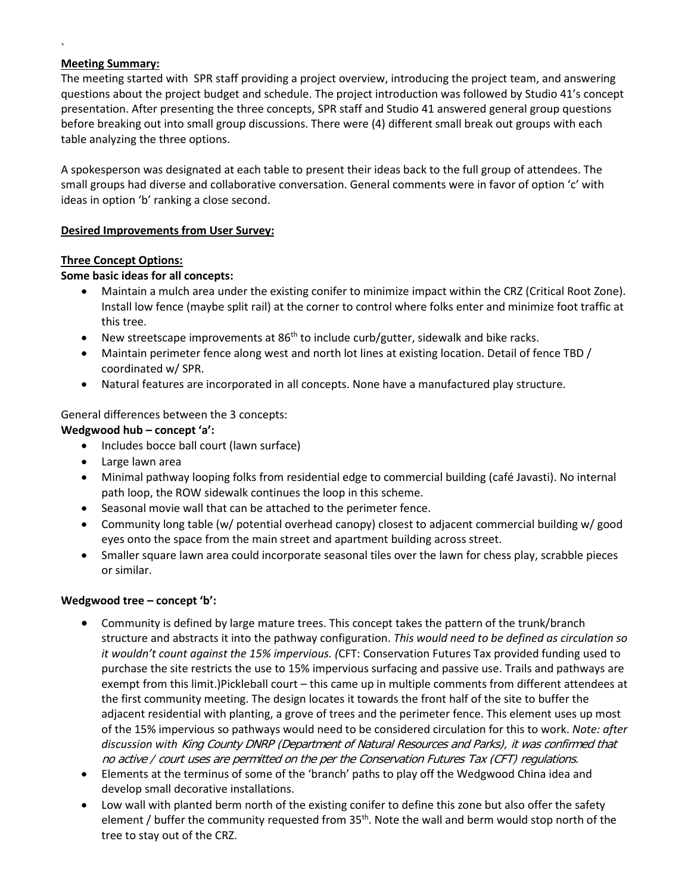# **Meeting Summary:**

`

The meeting started with SPR staff providing a project overview, introducing the project team, and answering questions about the project budget and schedule. The project introduction was followed by Studio 41's concept presentation. After presenting the three concepts, SPR staff and Studio 41 answered general group questions before breaking out into small group discussions. There were (4) different small break out groups with each table analyzing the three options.

A spokesperson was designated at each table to present their ideas back to the full group of attendees. The small groups had diverse and collaborative conversation. General comments were in favor of option 'c' with ideas in option 'b' ranking a close second.

# **Desired Improvements from User Survey:**

#### **Three Concept Options:**

# **Some basic ideas for all concepts:**

- Maintain a mulch area under the existing conifer to minimize impact within the CRZ (Critical Root Zone). Install low fence (maybe split rail) at the corner to control where folks enter and minimize foot traffic at this tree.
- New streetscape improvements at  $86<sup>th</sup>$  to include curb/gutter, sidewalk and bike racks.
- Maintain perimeter fence along west and north lot lines at existing location. Detail of fence TBD / coordinated w/ SPR.
- Natural features are incorporated in all concepts. None have a manufactured play structure.

General differences between the 3 concepts:

# **Wedgwood hub – concept 'a':**

- Includes bocce ball court (lawn surface)
- Large lawn area
- Minimal pathway looping folks from residential edge to commercial building (café Javasti). No internal path loop, the ROW sidewalk continues the loop in this scheme.
- Seasonal movie wall that can be attached to the perimeter fence.
- Community long table (w/ potential overhead canopy) closest to adjacent commercial building w/ good eyes onto the space from the main street and apartment building across street.
- Smaller square lawn area could incorporate seasonal tiles over the lawn for chess play, scrabble pieces or similar.

#### **Wedgwood tree – concept 'b':**

- Community is defined by large mature trees. This concept takes the pattern of the trunk/branch structure and abstracts it into the pathway configuration. *This would need to be defined as circulation so it wouldn't count against the 15% impervious. (*CFT: Conservation Futures Tax provided funding used to purchase the site restricts the use to 15% impervious surfacing and passive use. Trails and pathways are exempt from this limit.)Pickleball court – this came up in multiple comments from different attendees at the first community meeting. The design locates it towards the front half of the site to buffer the adjacent residential with planting, a grove of trees and the perimeter fence. This element uses up most of the 15% impervious so pathways would need to be considered circulation for this to work. *Note: after discussion with* King County DNRP (Department of Natural Resources and Parks), it was confirmed that no active / court uses are permitted on the per the Conservation Futures Tax (CFT) regulations.
- Elements at the terminus of some of the 'branch' paths to play off the Wedgwood China idea and develop small decorative installations.
- Low wall with planted berm north of the existing conifer to define this zone but also offer the safety element / buffer the community requested from 35<sup>th</sup>. Note the wall and berm would stop north of the tree to stay out of the CRZ.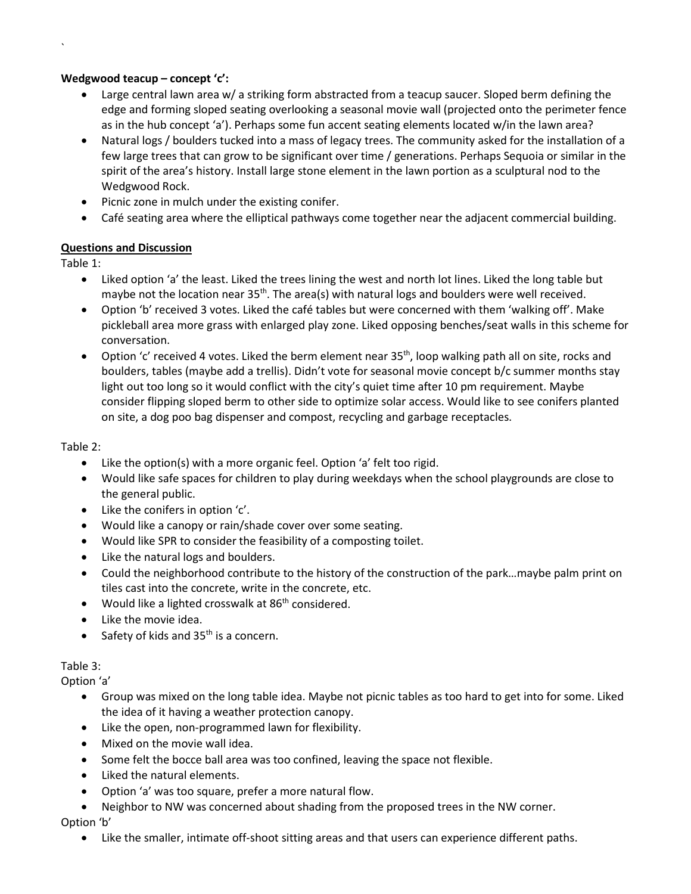# **Wedgwood teacup – concept 'c':**

- Large central lawn area w/ a striking form abstracted from a teacup saucer. Sloped berm defining the edge and forming sloped seating overlooking a seasonal movie wall (projected onto the perimeter fence as in the hub concept 'a'). Perhaps some fun accent seating elements located w/in the lawn area?
- Natural logs / boulders tucked into a mass of legacy trees. The community asked for the installation of a few large trees that can grow to be significant over time / generations. Perhaps Sequoia or similar in the spirit of the area's history. Install large stone element in the lawn portion as a sculptural nod to the Wedgwood Rock.
- Picnic zone in mulch under the existing conifer.
- Café seating area where the elliptical pathways come together near the adjacent commercial building.

# **Questions and Discussion**

Table 1:

`

- Liked option 'a' the least. Liked the trees lining the west and north lot lines. Liked the long table but maybe not the location near  $35<sup>th</sup>$ . The area(s) with natural logs and boulders were well received.
- Option 'b' received 3 votes. Liked the café tables but were concerned with them 'walking off'. Make pickleball area more grass with enlarged play zone. Liked opposing benches/seat walls in this scheme for conversation.
- Option 'c' received 4 votes. Liked the berm element near  $35<sup>th</sup>$ , loop walking path all on site, rocks and boulders, tables (maybe add a trellis). Didn't vote for seasonal movie concept b/c summer months stay light out too long so it would conflict with the city's quiet time after 10 pm requirement. Maybe consider flipping sloped berm to other side to optimize solar access. Would like to see conifers planted on site, a dog poo bag dispenser and compost, recycling and garbage receptacles.

#### Table 2:

- Like the option(s) with a more organic feel. Option 'a' felt too rigid.
- Would like safe spaces for children to play during weekdays when the school playgrounds are close to the general public.
- Like the conifers in option 'c'.
- Would like a canopy or rain/shade cover over some seating.
- Would like SPR to consider the feasibility of a composting toilet.
- Like the natural logs and boulders.
- Could the neighborhood contribute to the history of the construction of the park…maybe palm print on tiles cast into the concrete, write in the concrete, etc.
- Would like a lighted crosswalk at  $86<sup>th</sup>$  considered.
- Like the movie idea.
- Safety of kids and  $35<sup>th</sup>$  is a concern.

#### Table 3:

Option 'a'

- Group was mixed on the long table idea. Maybe not picnic tables as too hard to get into for some. Liked the idea of it having a weather protection canopy.
- Like the open, non-programmed lawn for flexibility.
- Mixed on the movie wall idea.
- Some felt the bocce ball area was too confined, leaving the space not flexible.
- Liked the natural elements.
- Option 'a' was too square, prefer a more natural flow.
- Neighbor to NW was concerned about shading from the proposed trees in the NW corner.

Option 'b'

• Like the smaller, intimate off-shoot sitting areas and that users can experience different paths.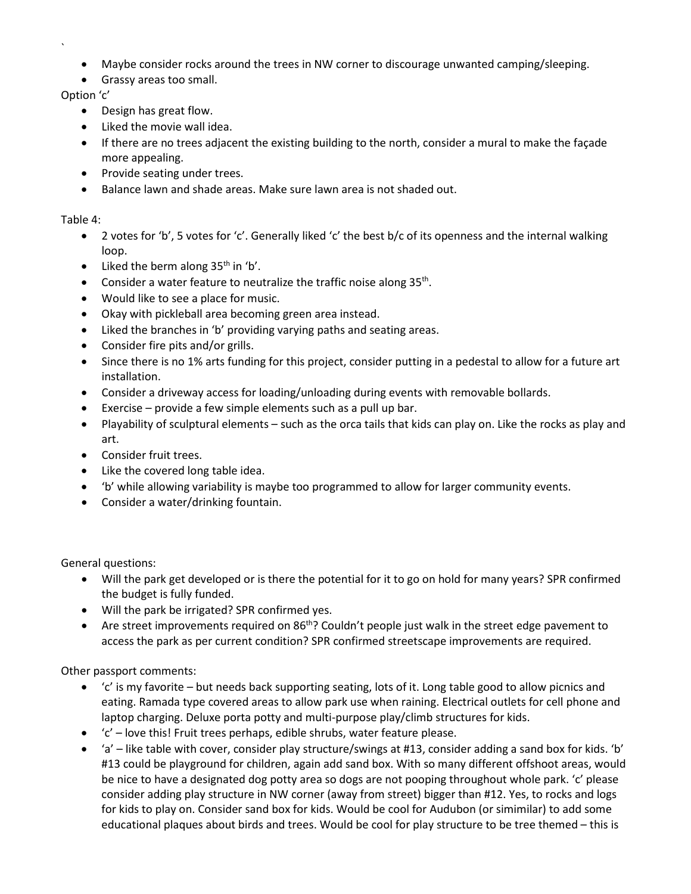- Maybe consider rocks around the trees in NW corner to discourage unwanted camping/sleeping.
- Grassy areas too small.

# Option 'c'

`

- Design has great flow.
- Liked the movie wall idea.
- If there are no trees adjacent the existing building to the north, consider a mural to make the façade more appealing.
- Provide seating under trees.
- Balance lawn and shade areas. Make sure lawn area is not shaded out.

#### Table 4:

- 2 votes for 'b', 5 votes for 'c'. Generally liked 'c' the best b/c of its openness and the internal walking loop.
- Liked the berm along  $35<sup>th</sup>$  in 'b'.
- Consider a water feature to neutralize the traffic noise along  $35<sup>th</sup>$ .
- Would like to see a place for music.
- Okay with pickleball area becoming green area instead.
- Liked the branches in 'b' providing varying paths and seating areas.
- Consider fire pits and/or grills.
- Since there is no 1% arts funding for this project, consider putting in a pedestal to allow for a future art installation.
- Consider a driveway access for loading/unloading during events with removable bollards.
- Exercise provide a few simple elements such as a pull up bar.
- Playability of sculptural elements such as the orca tails that kids can play on. Like the rocks as play and art.
- Consider fruit trees.
- Like the covered long table idea.
- 'b' while allowing variability is maybe too programmed to allow for larger community events.
- Consider a water/drinking fountain.

#### General questions:

- Will the park get developed or is there the potential for it to go on hold for many years? SPR confirmed the budget is fully funded.
- Will the park be irrigated? SPR confirmed yes.
- Are street improvements required on  $86<sup>th</sup>$ ? Couldn't people just walk in the street edge pavement to access the park as per current condition? SPR confirmed streetscape improvements are required.

#### Other passport comments:

- 'c' is my favorite but needs back supporting seating, lots of it. Long table good to allow picnics and eating. Ramada type covered areas to allow park use when raining. Electrical outlets for cell phone and laptop charging. Deluxe porta potty and multi-purpose play/climb structures for kids.
- $\bullet$  'c' love this! Fruit trees perhaps, edible shrubs, water feature please.
- 'a' like table with cover, consider play structure/swings at #13, consider adding a sand box for kids. 'b' #13 could be playground for children, again add sand box. With so many different offshoot areas, would be nice to have a designated dog potty area so dogs are not pooping throughout whole park. 'c' please consider adding play structure in NW corner (away from street) bigger than #12. Yes, to rocks and logs for kids to play on. Consider sand box for kids. Would be cool for Audubon (or simimilar) to add some educational plaques about birds and trees. Would be cool for play structure to be tree themed – this is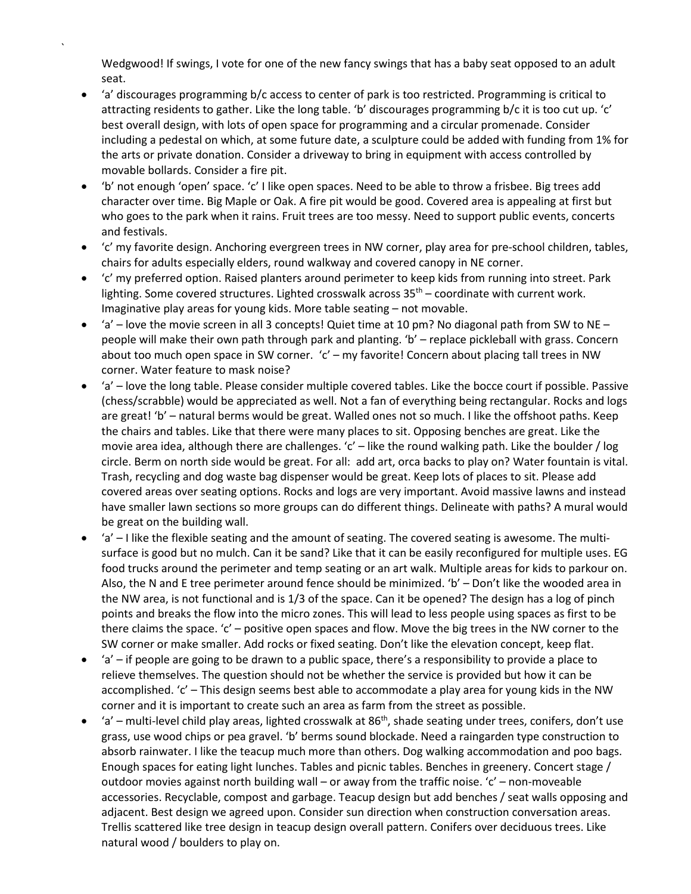Wedgwood! If swings, I vote for one of the new fancy swings that has a baby seat opposed to an adult seat.

`

- 'a' discourages programming b/c access to center of park is too restricted. Programming is critical to attracting residents to gather. Like the long table. 'b' discourages programming b/c it is too cut up. 'c' best overall design, with lots of open space for programming and a circular promenade. Consider including a pedestal on which, at some future date, a sculpture could be added with funding from 1% for the arts or private donation. Consider a driveway to bring in equipment with access controlled by movable bollards. Consider a fire pit.
- 'b' not enough 'open' space. 'c' I like open spaces. Need to be able to throw a frisbee. Big trees add character over time. Big Maple or Oak. A fire pit would be good. Covered area is appealing at first but who goes to the park when it rains. Fruit trees are too messy. Need to support public events, concerts and festivals.
- 'c' my favorite design. Anchoring evergreen trees in NW corner, play area for pre-school children, tables, chairs for adults especially elders, round walkway and covered canopy in NE corner.
- 'c' my preferred option. Raised planters around perimeter to keep kids from running into street. Park lighting. Some covered structures. Lighted crosswalk across  $35<sup>th</sup>$  – coordinate with current work. Imaginative play areas for young kids. More table seating – not movable.
- $\bullet$  'a' love the movie screen in all 3 concepts! Quiet time at 10 pm? No diagonal path from SW to NE people will make their own path through park and planting. 'b' – replace pickleball with grass. Concern about too much open space in SW corner. 'c' – my favorite! Concern about placing tall trees in NW corner. Water feature to mask noise?
- 'a' love the long table. Please consider multiple covered tables. Like the bocce court if possible. Passive (chess/scrabble) would be appreciated as well. Not a fan of everything being rectangular. Rocks and logs are great! 'b' – natural berms would be great. Walled ones not so much. I like the offshoot paths. Keep the chairs and tables. Like that there were many places to sit. Opposing benches are great. Like the movie area idea, although there are challenges. 'c' – like the round walking path. Like the boulder / log circle. Berm on north side would be great. For all: add art, orca backs to play on? Water fountain is vital. Trash, recycling and dog waste bag dispenser would be great. Keep lots of places to sit. Please add covered areas over seating options. Rocks and logs are very important. Avoid massive lawns and instead have smaller lawn sections so more groups can do different things. Delineate with paths? A mural would be great on the building wall.
- $4$ <sup>-</sup>  $-$  I like the flexible seating and the amount of seating. The covered seating is awesome. The multisurface is good but no mulch. Can it be sand? Like that it can be easily reconfigured for multiple uses. EG food trucks around the perimeter and temp seating or an art walk. Multiple areas for kids to parkour on. Also, the N and E tree perimeter around fence should be minimized. 'b' – Don't like the wooded area in the NW area, is not functional and is 1/3 of the space. Can it be opened? The design has a log of pinch points and breaks the flow into the micro zones. This will lead to less people using spaces as first to be there claims the space. 'c' – positive open spaces and flow. Move the big trees in the NW corner to the SW corner or make smaller. Add rocks or fixed seating. Don't like the elevation concept, keep flat.
- $\bullet$  'a' if people are going to be drawn to a public space, there's a responsibility to provide a place to relieve themselves. The question should not be whether the service is provided but how it can be accomplished. 'c' – This design seems best able to accommodate a play area for young kids in the NW corner and it is important to create such an area as farm from the street as possible.
- 'a' multi-level child play areas, lighted crosswalk at 86<sup>th</sup>, shade seating under trees, conifers, don't use grass, use wood chips or pea gravel. 'b' berms sound blockade. Need a raingarden type construction to absorb rainwater. I like the teacup much more than others. Dog walking accommodation and poo bags. Enough spaces for eating light lunches. Tables and picnic tables. Benches in greenery. Concert stage / outdoor movies against north building wall – or away from the traffic noise. 'c' – non-moveable accessories. Recyclable, compost and garbage. Teacup design but add benches / seat walls opposing and adjacent. Best design we agreed upon. Consider sun direction when construction conversation areas. Trellis scattered like tree design in teacup design overall pattern. Conifers over deciduous trees. Like natural wood / boulders to play on.